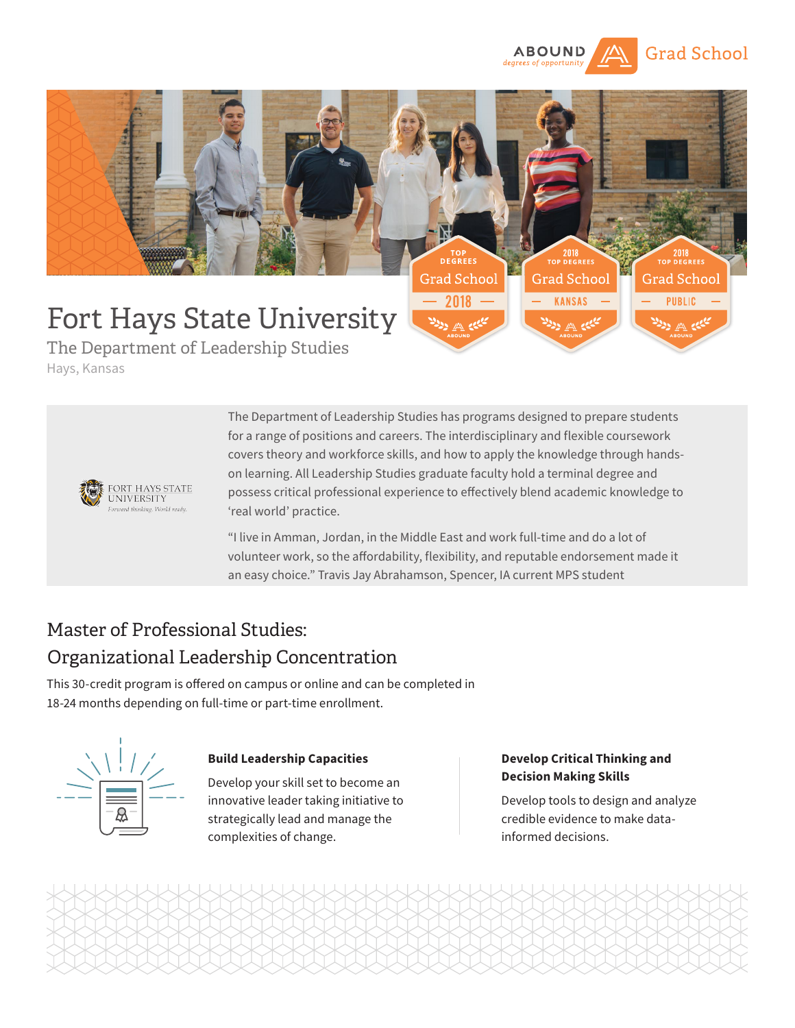



The Department of Leadership Studies Hays, Kansas



The Department of Leadership Studies has programs designed to prepare students for a range of positions and careers. The interdisciplinary and flexible coursework covers theory and workforce skills, and how to apply the knowledge through handson learning. All Leadership Studies graduate faculty hold a terminal degree and possess critical professional experience to effectively blend academic knowledge to 'real world' practice.

"I live in Amman, Jordan, in the Middle East and work full-time and do a lot of volunteer work, so the affordability, flexibility, and reputable endorsement made it an easy choice." Travis Jay Abrahamson, Spencer, IA current MPS student

# Master of Professional Studies: Organizational Leadership Concentration

This 30-credit program is offered on campus or online and can be completed in 18-24 months depending on full-time or part-time enrollment.



## **Build Leadership Capacities**

Develop your skill set to become an innovative leader taking initiative to strategically lead and manage the complexities of change.

## **Develop Critical Thinking and Decision Making Skills**

Develop tools to design and analyze credible evidence to make datainformed decisions.